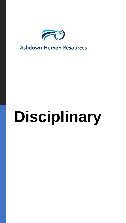

## **Ashdown Human Resources**

# **Disciplinary**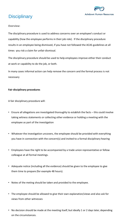

### **Disciplinary**

**Overview:**

The disciplinary procedure is used to address concerns over an employee's conduct or capability (how the employee performs in their job role). If the disciplinary procedure results in an employee being dismissed, if you have not followed the ACAS guidelines at all times you risk a claim for unfair dismissal.

The disciplinary procedure should be used to help employees improve either their conduct at work or capability to do the job, or both.

In many cases informal action can help remove the concern and the formal process is not necessary

#### **Fair disciplinary procedures**

A fair disciplinary procedure will:

- Ensure all allegations are investigated thoroughly to establish the facts this could involve taking witness statements or collecting other evidence or holding a meeting with the employee as part of the investigation
- Whatever the investigation uncovers, the employee should be provided with everything you have in connection with the concern(s) and invited to a formal disciplinary hearing
- Employees have the right to be accompanied by a trade union representative or fellow colleague at all formal meetings.
- Adequate notice (including all the evidence) should be given to the employee to give them time to prepare (for example 48 hours).
- Notes of the meting should be taken and provided to the employee.
- The employee should be allowed to give their own explanation/views and also ask for views from other witnesses
- No decision should be made at the meeting itself, but ideally 1 or 2 days later, depending on the circumstances.